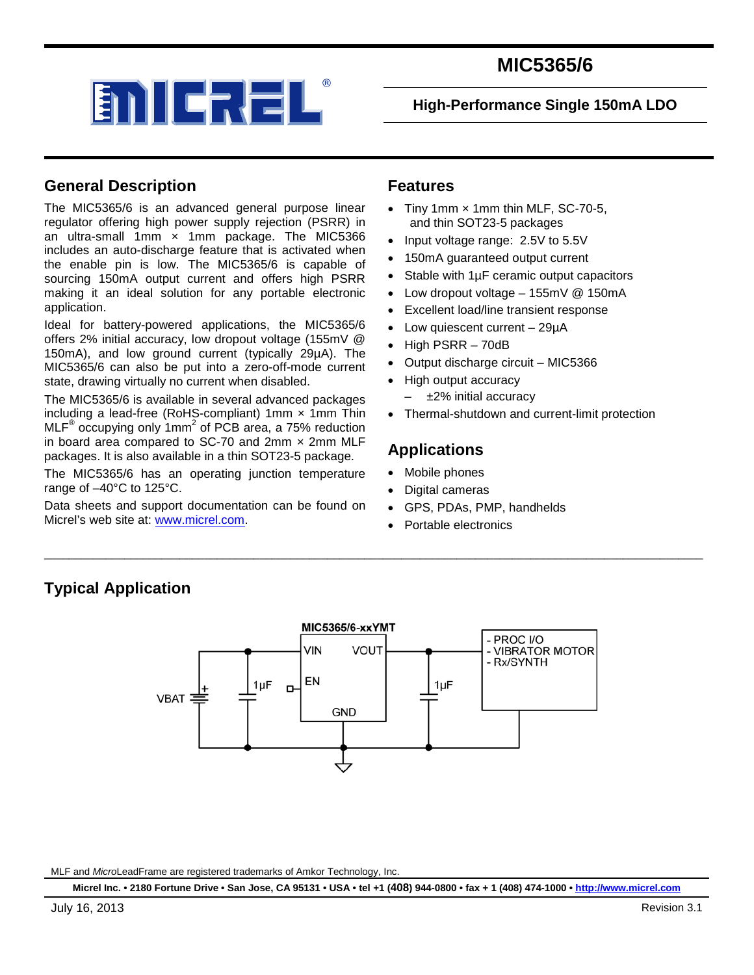

**High-Performance Single 150mA LDO**

### **General Description**

The MIC5365/6 is an advanced general purpose linear regulator offering high power supply rejection (PSRR) in an ultra-small 1mm  $\times$  1mm package. The MIC5366 includes an auto-discharge feature that is activated when the enable pin is low. The MIC5365/6 is capable of sourcing 150mA output current and offers high PSRR making it an ideal solution for any portable electronic application.

Ideal for battery-powered applications, the MIC5365/6 offers 2% initial accuracy, low dropout voltage (155mV @ 150mA), and low ground current (typically 29µA). The MIC5365/6 can also be put into a zero-off-mode current state, drawing virtually no current when disabled.

The MIC5365/6 is available in several advanced packages including a lead-free (RoHS-compliant) 1mm × 1mm Thin  $MLF^®$  occupying only 1mm<sup>2</sup> of PCB area, a 75% reduction in board area compared to SC-70 and 2mm  $\times$  2mm MLF packages. It is also available in a thin SOT23-5 package.

The MIC5365/6 has an operating junction temperature range of –40°C to 125°C.

Data sheets and support documentation can be found on Micrel's web site at: [www.micrel.com.](http://www.micrel.com/)

### **Features**

- Tiny 1mm  $\times$  1mm thin MLF, SC-70-5, and thin SOT23-5 packages
- Input voltage range: 2.5V to 5.5V
- 150mA guaranteed output current
- Stable with 1µF ceramic output capacitors
- Low dropout voltage 155mV @ 150mA
- Excellent load/line transient response
- Low quiescent current  $-29\mu A$
- High PSRR 70dB
- Output discharge circuit MIC5366
- High output accuracy
	- ±2% initial accuracy
- Thermal-shutdown and current-limit protection

### **Applications**

- Mobile phones
- Digital cameras
- GPS, PDAs, PMP, handhelds
- Portable electronics

### **Typical Application**



\_\_\_\_\_\_\_\_\_\_\_\_\_\_\_\_\_\_\_\_\_\_\_\_\_\_\_\_\_\_\_\_\_\_\_\_\_\_\_\_\_\_\_\_\_\_\_\_\_\_\_\_\_\_\_\_\_\_\_\_\_\_\_\_\_\_\_\_\_\_\_\_\_\_\_\_\_\_\_\_\_\_\_\_\_\_\_\_\_\_\_\_\_\_\_\_\_\_\_\_\_\_\_\_\_\_\_

MLF and *Micro*LeadFrame are registered trademarks of Amkor Technology, Inc.

**Micrel Inc. • 2180 Fortune Drive • San Jose, CA 95131 • USA • tel +1 (408) 944-0800 • fax + 1 (408) 474-1000 [• http://www.micrel.com](http://www.micrel.com/)**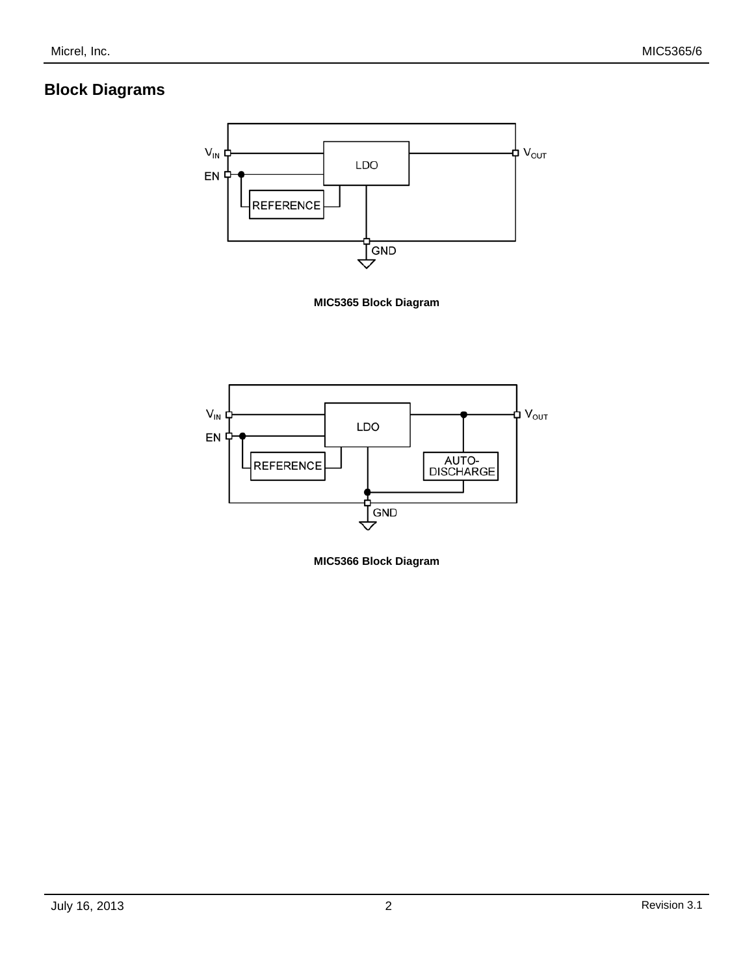### **Block Diagrams**







**MIC5366 Block Diagram**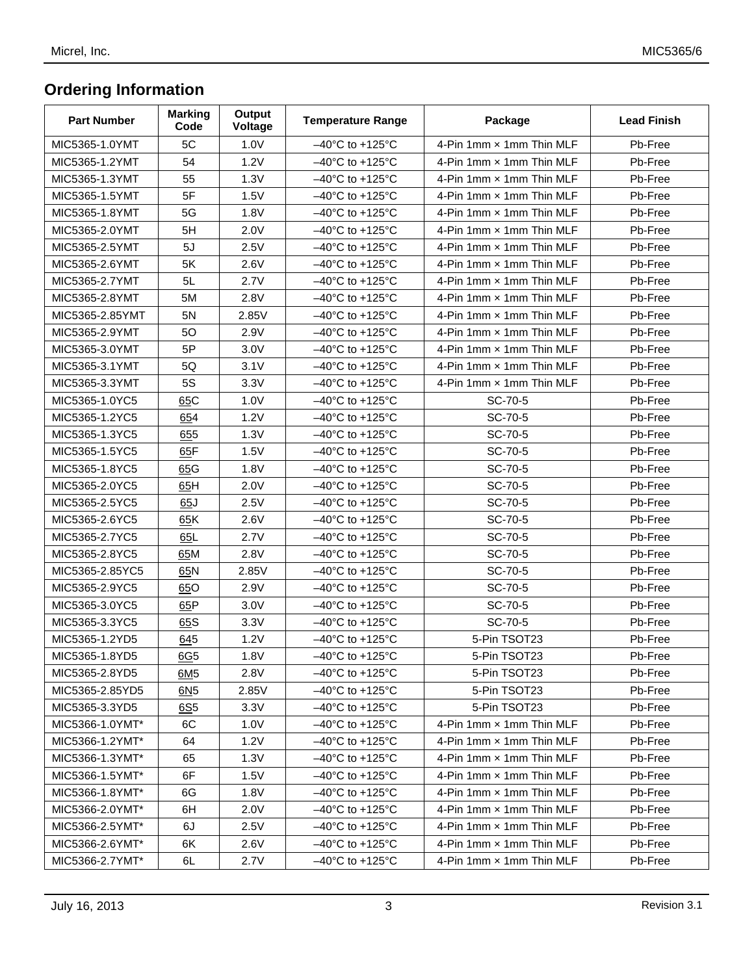# **Ordering Information**

| <b>Part Number</b> | <b>Marking</b><br>Code | Output<br>Voltage | <b>Temperature Range</b>             | Package                  | <b>Lead Finish</b> |
|--------------------|------------------------|-------------------|--------------------------------------|--------------------------|--------------------|
| MIC5365-1.0YMT     | 5C                     | 1.0V              | $-40^{\circ}$ C to +125 $^{\circ}$ C | 4-Pin 1mm x 1mm Thin MLF | Pb-Free            |
| MIC5365-1.2YMT     | 54                     | 1.2V              | $-40^{\circ}$ C to +125 $^{\circ}$ C | 4-Pin 1mm x 1mm Thin MLF | Pb-Free            |
| MIC5365-1.3YMT     | 55                     | 1.3V              | $-40^{\circ}$ C to $+125^{\circ}$ C  | 4-Pin 1mm x 1mm Thin MLF | Pb-Free            |
| MIC5365-1.5YMT     | 5F                     | 1.5V              | $-40^{\circ}$ C to $+125^{\circ}$ C  | 4-Pin 1mm x 1mm Thin MLF | Pb-Free            |
| MIC5365-1.8YMT     | 5G                     | 1.8V              | $-40^{\circ}$ C to +125 $^{\circ}$ C | 4-Pin 1mm x 1mm Thin MLF | Pb-Free            |
| MIC5365-2.0YMT     | 5H                     | 2.0V              | $-40^{\circ}$ C to +125 $^{\circ}$ C | 4-Pin 1mm x 1mm Thin MLF | Pb-Free            |
| MIC5365-2.5YMT     | 5J                     | 2.5V              | $-40^{\circ}$ C to +125 $^{\circ}$ C | 4-Pin 1mm x 1mm Thin MLF | Pb-Free            |
| MIC5365-2.6YMT     | 5K                     | 2.6V              | $-40^{\circ}$ C to +125 $^{\circ}$ C | 4-Pin 1mm x 1mm Thin MLF | Pb-Free            |
| MIC5365-2.7YMT     | 5L                     | 2.7V              | $-40^{\circ}$ C to +125 $^{\circ}$ C | 4-Pin 1mm x 1mm Thin MLF | Pb-Free            |
| MIC5365-2.8YMT     | 5M                     | 2.8V              | $-40^{\circ}$ C to +125 $^{\circ}$ C | 4-Pin 1mm x 1mm Thin MLF | Pb-Free            |
| MIC5365-2.85YMT    | 5N                     | 2.85V             | $-40^{\circ}$ C to $+125^{\circ}$ C  | 4-Pin 1mm x 1mm Thin MLF | Pb-Free            |
| MIC5365-2.9YMT     | 50                     | 2.9V              | $-40^{\circ}$ C to +125 $^{\circ}$ C | 4-Pin 1mm x 1mm Thin MLF | Pb-Free            |
| MIC5365-3.0YMT     | 5P                     | 3.0V              | $-40^{\circ}$ C to $+125^{\circ}$ C  | 4-Pin 1mm x 1mm Thin MLF | Pb-Free            |
| MIC5365-3.1YMT     | 5Q                     | 3.1V              | $-40^{\circ}$ C to +125 $^{\circ}$ C | 4-Pin 1mm x 1mm Thin MLF | Pb-Free            |
| MIC5365-3.3YMT     | 5S                     | 3.3V              | $-40^{\circ}$ C to +125 $^{\circ}$ C | 4-Pin 1mm x 1mm Thin MLF | Pb-Free            |
| MIC5365-1.0YC5     | 65C                    | 1.0V              | $-40^{\circ}$ C to +125 $^{\circ}$ C | SC-70-5                  | Pb-Free            |
| MIC5365-1.2YC5     | 654                    | 1.2V              | $-40^{\circ}$ C to +125 $^{\circ}$ C | SC-70-5                  | Pb-Free            |
| MIC5365-1.3YC5     | 655                    | 1.3V              | $-40^{\circ}$ C to +125 $^{\circ}$ C | SC-70-5                  | Pb-Free            |
| MIC5365-1.5YC5     | 65F                    | 1.5V              | $-40^{\circ}$ C to +125 $^{\circ}$ C | SC-70-5                  | Pb-Free            |
| MIC5365-1.8YC5     | 65G                    | 1.8V              | $-40^{\circ}$ C to +125 $^{\circ}$ C | SC-70-5                  | Pb-Free            |
| MIC5365-2.0YC5     | 65H                    | 2.0V              | $-40^{\circ}$ C to $+125^{\circ}$ C  | SC-70-5                  | Pb-Free            |
| MIC5365-2.5YC5     | 65J                    | 2.5V              | $-40^{\circ}$ C to +125 $^{\circ}$ C | SC-70-5                  | Pb-Free            |
| MIC5365-2.6YC5     | 65K                    | 2.6V              | $-40^{\circ}$ C to +125 $^{\circ}$ C | SC-70-5                  | Pb-Free            |
| MIC5365-2.7YC5     | 65L                    | 2.7V              | $-40^{\circ}$ C to +125 $^{\circ}$ C | SC-70-5                  | Pb-Free            |
| MIC5365-2.8YC5     | 65M                    | 2.8V              | $-40^{\circ}$ C to +125 $^{\circ}$ C | SC-70-5                  | Pb-Free            |
| MIC5365-2.85YC5    | 65N                    | 2.85V             | $-40^{\circ}$ C to +125 $^{\circ}$ C | SC-70-5                  | Pb-Free            |
| MIC5365-2.9YC5     | 65O                    | 2.9V              | $-40^{\circ}$ C to +125 $^{\circ}$ C | SC-70-5                  | Pb-Free            |
| MIC5365-3.0YC5     | 65P                    | 3.0V              | $-40^{\circ}$ C to +125 $^{\circ}$ C | SC-70-5                  | Pb-Free            |
| MIC5365-3.3YC5     | 65S                    | 3.3V              | $-40^{\circ}$ C to +125 $^{\circ}$ C | SC-70-5                  | Pb-Free            |
| MIC5365-1.2YD5     | 645                    | 1.2V              | $-40^{\circ}$ C to +125 $^{\circ}$ C | 5-Pin TSOT23             | Pb-Free            |
| MIC5365-1.8YD5     | $\underline{6G5}$      | 1.8V              | $-40^{\circ}$ C to +125 $^{\circ}$ C | 5-Pin TSOT23             | Pb-Free            |
| MIC5365-2.8YD5     | 6M5                    | 2.8V              | $-40^{\circ}$ C to $+125^{\circ}$ C  | 5-Pin TSOT23             | Pb-Free            |
| MIC5365-2.85YD5    | 6N <sub>5</sub>        | 2.85V             | $-40^{\circ}$ C to +125 $^{\circ}$ C | 5-Pin TSOT23             | Pb-Free            |
| MIC5365-3.3YD5     | 6S <sub>5</sub>        | 3.3V              | $-40^{\circ}$ C to +125 $^{\circ}$ C | 5-Pin TSOT23             | Pb-Free            |
| MIC5366-1.0YMT*    | 6C                     | 1.0V              | $-40^{\circ}$ C to +125 $^{\circ}$ C | 4-Pin 1mm x 1mm Thin MLF | Pb-Free            |
| MIC5366-1.2YMT*    | 64                     | 1.2V              | $-40^{\circ}$ C to +125 $^{\circ}$ C | 4-Pin 1mm x 1mm Thin MLF | Pb-Free            |
| MIC5366-1.3YMT*    | 65                     | 1.3V              | $-40^{\circ}$ C to +125 $^{\circ}$ C | 4-Pin 1mm x 1mm Thin MLF | Pb-Free            |
| MIC5366-1.5YMT*    | 6F                     | 1.5V              | $-40^{\circ}$ C to +125 $^{\circ}$ C | 4-Pin 1mm x 1mm Thin MLF | Pb-Free            |
| MIC5366-1.8YMT*    | 6G                     | 1.8V              | $-40^{\circ}$ C to +125 $^{\circ}$ C | 4-Pin 1mm x 1mm Thin MLF | Pb-Free            |
| MIC5366-2.0YMT*    | 6H                     | 2.0V              | $-40^{\circ}$ C to +125 $^{\circ}$ C | 4-Pin 1mm x 1mm Thin MLF | Pb-Free            |
| MIC5366-2.5YMT*    | 6J                     | 2.5V              | $-40^{\circ}$ C to +125 $^{\circ}$ C | 4-Pin 1mm x 1mm Thin MLF | Pb-Free            |
| MIC5366-2.6YMT*    | 6K                     | 2.6V              | $-40^{\circ}$ C to +125 $^{\circ}$ C | 4-Pin 1mm x 1mm Thin MLF | Pb-Free            |
| MIC5366-2.7YMT*    | 6L                     | 2.7V              | $-40^{\circ}$ C to +125 $^{\circ}$ C | 4-Pin 1mm x 1mm Thin MLF | Pb-Free            |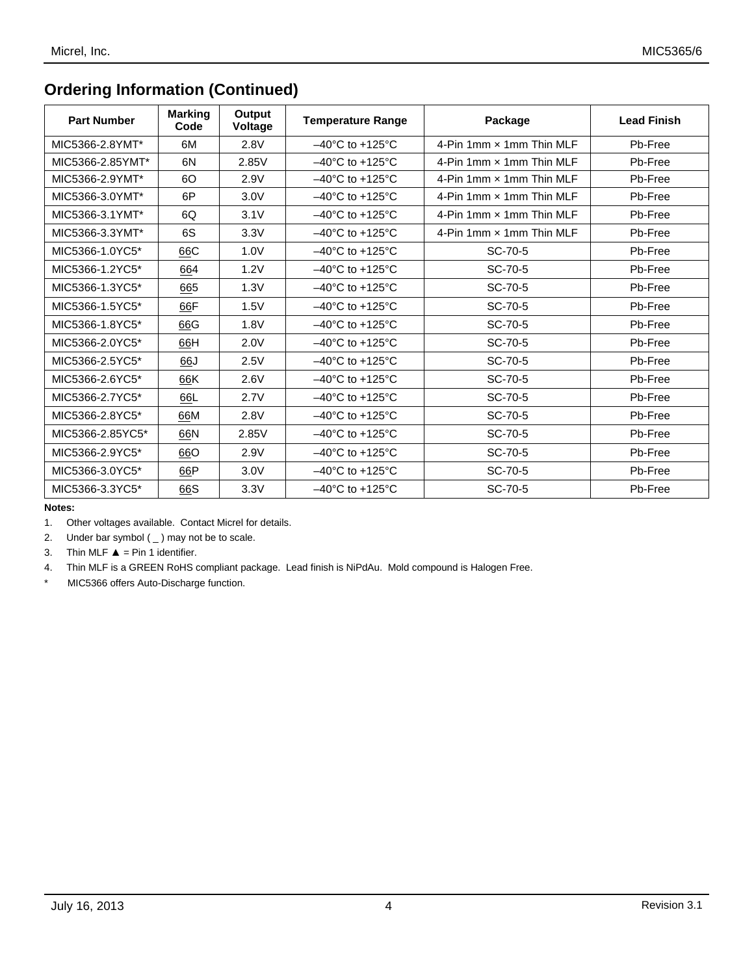## **Ordering Information (Continued)**

| <b>Part Number</b> | <b>Marking</b><br>Code | Output<br><b>Voltage</b> | <b>Temperature Range</b>             | Package                  | <b>Lead Finish</b> |
|--------------------|------------------------|--------------------------|--------------------------------------|--------------------------|--------------------|
| MIC5366-2.8YMT*    | 6M                     | 2.8V                     | $-40^{\circ}$ C to $+125^{\circ}$ C  | 4-Pin 1mm x 1mm Thin MLF | Pb-Free            |
| MIC5366-2.85YMT*   | 6N                     | 2.85V                    | $-40^{\circ}$ C to $+125^{\circ}$ C  | 4-Pin 1mm x 1mm Thin MLF | Pb-Free            |
| MIC5366-2.9YMT*    | 60                     | 2.9V                     | $-40^{\circ}$ C to $+125^{\circ}$ C  | 4-Pin 1mm x 1mm Thin MLF | Pb-Free            |
| MIC5366-3.0YMT*    | 6P                     | 3.0V                     | $-40^{\circ}$ C to $+125^{\circ}$ C  | 4-Pin 1mm x 1mm Thin MLF | Pb-Free            |
| MIC5366-3.1YMT*    | 6Q                     | 3.1V                     | $-40^{\circ}$ C to $+125^{\circ}$ C  | 4-Pin 1mm x 1mm Thin MLF | Pb-Free            |
| MIC5366-3.3YMT*    | 6S                     | 3.3V                     | $-40^{\circ}$ C to $+125^{\circ}$ C  | 4-Pin 1mm x 1mm Thin MLF | Pb-Free            |
| MIC5366-1.0YC5*    | 66C                    | 1.0V                     | $-40^{\circ}$ C to $+125^{\circ}$ C  | SC-70-5                  | Pb-Free            |
| MIC5366-1.2YC5*    | 664                    | 1.2V                     | $-40^{\circ}$ C to $+125^{\circ}$ C  | SC-70-5                  | Pb-Free            |
| MIC5366-1.3YC5*    | 665                    | 1.3V                     | $-40^{\circ}$ C to $+125^{\circ}$ C  | SC-70-5                  | Pb-Free            |
| MIC5366-1.5YC5*    | 66F                    | 1.5V                     | $-40^{\circ}$ C to $+125^{\circ}$ C  | SC-70-5                  | Pb-Free            |
| MIC5366-1.8YC5*    | 66G                    | 1.8V                     | $-40^{\circ}$ C to $+125^{\circ}$ C  | SC-70-5                  | Pb-Free            |
| MIC5366-2.0YC5*    | 66H                    | 2.0V                     | $-40^{\circ}$ C to +125 $^{\circ}$ C | SC-70-5                  | Pb-Free            |
| MIC5366-2.5YC5*    | 66J                    | 2.5V                     | $-40^{\circ}$ C to $+125^{\circ}$ C  | SC-70-5                  | Pb-Free            |
| MIC5366-2.6YC5*    | 66K                    | 2.6V                     | $-40^{\circ}$ C to $+125^{\circ}$ C  | SC-70-5                  | Pb-Free            |
| MIC5366-2.7YC5*    | 66L                    | 2.7V                     | $-40^{\circ}$ C to $+125^{\circ}$ C  | SC-70-5                  | Pb-Free            |
| MIC5366-2.8YC5*    | 66M                    | 2.8V                     | $-40^{\circ}$ C to $+125^{\circ}$ C  | SC-70-5                  | Pb-Free            |
| MIC5366-2.85YC5*   | 66N                    | 2.85V                    | $-40^{\circ}$ C to $+125^{\circ}$ C  | SC-70-5                  | Pb-Free            |
| MIC5366-2.9YC5*    | 66O                    | 2.9V                     | $-40^{\circ}$ C to $+125^{\circ}$ C  | SC-70-5                  | Pb-Free            |
| MIC5366-3.0YC5*    | 66P                    | 3.0V                     | $-40^{\circ}$ C to +125 $^{\circ}$ C | SC-70-5                  | Pb-Free            |
| MIC5366-3.3YC5*    | 66S                    | 3.3V                     | $-40^{\circ}$ C to $+125^{\circ}$ C  | SC-70-5                  | Pb-Free            |

#### **Notes:**

2. Under bar symbol  $($   $)$  may not be to scale.

3. Thin MLF  $\triangle$  = Pin 1 identifier.

4. Thin MLF is a GREEN RoHS compliant package. Lead finish is NiPdAu. Mold compound is Halogen Free.

MIC5366 offers Auto-Discharge function.

<sup>1.</sup> Other voltages available. Contact Micrel for details.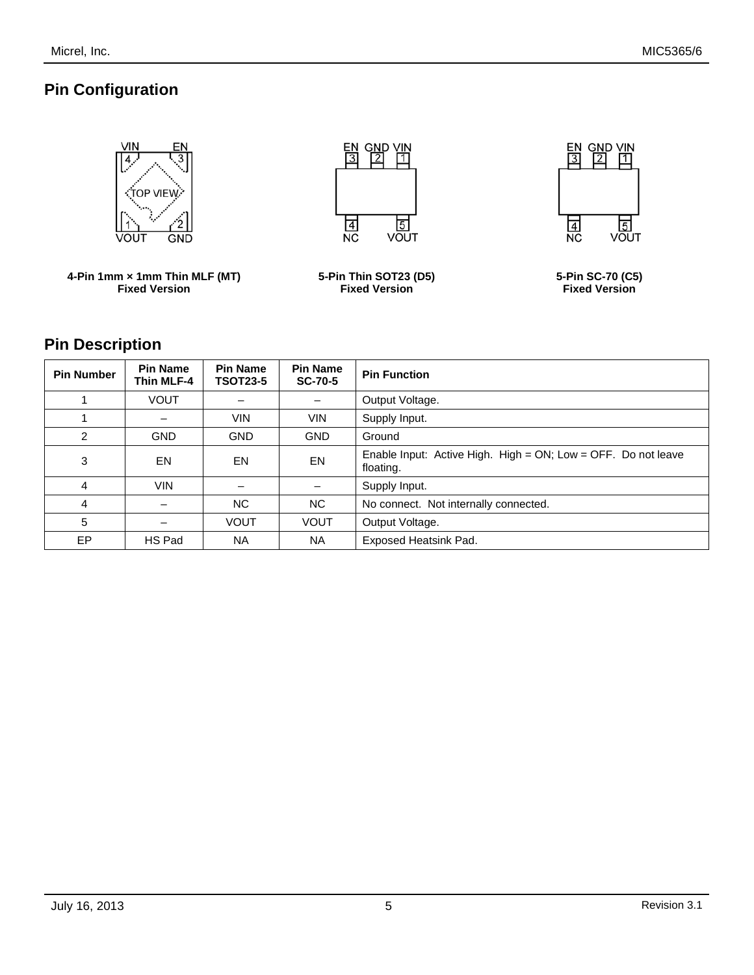## **Pin Configuration**



### **Pin Description**

| <b>Pin Number</b> | <b>Pin Name</b><br><b>Thin MLF-4</b> | <b>Pin Name</b><br><b>TSOT23-5</b> | <b>Pin Name</b><br><b>SC-70-5</b> | <b>Pin Function</b>                                                           |
|-------------------|--------------------------------------|------------------------------------|-----------------------------------|-------------------------------------------------------------------------------|
|                   | <b>VOUT</b>                          |                                    |                                   | Output Voltage.                                                               |
|                   |                                      | <b>VIN</b>                         | <b>VIN</b>                        | Supply Input.                                                                 |
| 2                 | <b>GND</b>                           | <b>GND</b>                         | <b>GND</b>                        | Ground                                                                        |
| 3                 | EN                                   | EN                                 | <b>EN</b>                         | Enable Input: Active High. High = $ON$ ; Low = OFF. Do not leave<br>floating. |
| 4                 | <b>VIN</b>                           |                                    |                                   | Supply Input.                                                                 |
| 4                 |                                      | NC.                                | NC.                               | No connect. Not internally connected.                                         |
| 5                 |                                      | <b>VOUT</b>                        | <b>VOUT</b>                       | Output Voltage.                                                               |
| <b>EP</b>         | HS Pad                               | <b>NA</b>                          | <b>NA</b>                         | Exposed Heatsink Pad.                                                         |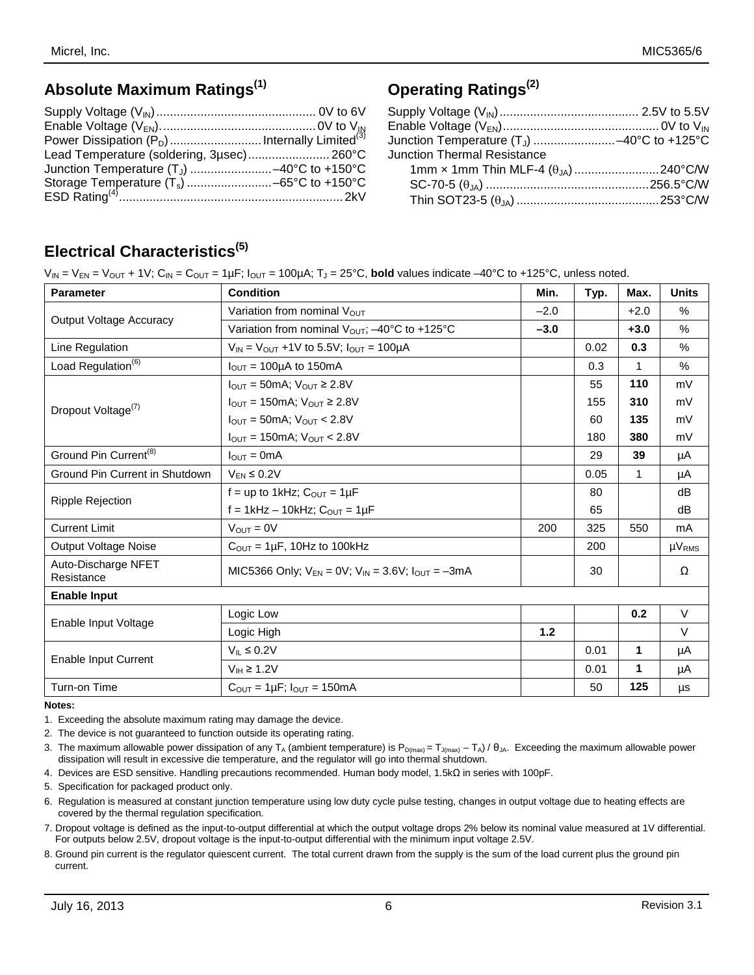## **Absolute Maximum Ratings(1)**

| Lead Temperature (soldering, 3usec) 260°C |  |
|-------------------------------------------|--|
|                                           |  |
|                                           |  |
|                                           |  |

### **Operating Ratings(2)**

| Junction Temperature (T <sub>J</sub> ) -40°C to +125°C |  |
|--------------------------------------------------------|--|
| <b>Junction Thermal Resistance</b>                     |  |
| 1mm x 1mm Thin MLF-4 $(\theta_{JA})$ 240°C/W           |  |
|                                                        |  |
|                                                        |  |

## **Electrical Characteristics(5)**

 $V_{IN} = V_{EN} = V_{OUT} + 1V$ ;  $C_{IN} = C_{OUT} = 1 \mu F$ ;  $I_{OUT} = 100 \mu A$ ;  $T_J = 25^{\circ}C$ , **bold** values indicate  $-40^{\circ}C$  to +125°C, unless noted.

| <b>Parameter</b>                                                                               | <b>Condition</b>                                                      | Min.   | Typ. | Max.   | <b>Units</b>  |
|------------------------------------------------------------------------------------------------|-----------------------------------------------------------------------|--------|------|--------|---------------|
|                                                                                                | Variation from nominal V <sub>OUT</sub>                               | $-2.0$ |      | $+2.0$ | %             |
| <b>Output Voltage Accuracy</b>                                                                 | Variation from nominal $V_{\text{OUT}}$ ; -40°C to +125°C             | $-3.0$ |      | $+3.0$ | $\%$          |
| Line Regulation                                                                                | $V_{IN}$ = $V_{OUT}$ +1V to 5.5V; $I_{OUT}$ = 100µA                   |        | 0.02 | 0.3    | %             |
| Load Regulation <sup>(6)</sup>                                                                 | $I_{\text{OUT}} = 100\mu\text{A}$ to 150mA                            |        | 0.3  | 1      | %             |
|                                                                                                | $I_{\text{OUT}} = 50 \text{mA}$ ; $V_{\text{OUT}} \geq 2.8 \text{V}$  |        | 55   | 110    | mV            |
| Dropout Voltage <sup>(7)</sup>                                                                 | $I_{\text{OUT}} = 150 \text{mA}$ ; $V_{\text{OUT}} \geq 2.8 \text{V}$ |        | 155  | 310    | mV            |
| Ground Pin Current <sup>(8)</sup><br>Ground Pin Current in Shutdown<br><b>Ripple Rejection</b> | $I_{\text{OUT}} = 50 \text{mA}$ ; $V_{\text{OUT}} < 2.8 \text{V}$     |        | 60   | 135    | mV            |
|                                                                                                | $I_{OUT} = 150mA$ ; $V_{OUT} < 2.8V$                                  |        | 180  | 380    | mV            |
|                                                                                                | $I_{\text{OUT}} = 0 \text{mA}$                                        |        | 29   | 39     | μA            |
|                                                                                                | $V_{FN} \leq 0.2V$                                                    |        | 0.05 | 1      | μA            |
|                                                                                                | $f = up to 1kHz$ ; $C_{OUT} = 1\mu F$                                 |        | 80   |        | dB            |
| <b>Current Limit</b>                                                                           | f = 1kHz - 10kHz; $C_{OUT}$ = 1µF                                     |        | 65   |        | dB            |
|                                                                                                | $V_{OUT} = 0V$                                                        | 200    | 325  | 550    | mA            |
| <b>Output Voltage Noise</b>                                                                    | $C_{\text{OUT}} = 1 \mu F$ , 10Hz to 100kHz                           |        | 200  |        | $\mu V_{RMS}$ |
| Auto-Discharge NFET<br>Resistance                                                              | MIC5366 Only; $V_{FN} = 0V$ ; $V_{IN} = 3.6V$ ; $I_{OUT} = -3mA$      |        | 30   |        | Ω             |
| <b>Enable Input</b>                                                                            |                                                                       |        |      |        |               |
|                                                                                                | Logic Low                                                             |        |      | 0.2    | $\vee$        |
| Enable Input Voltage                                                                           | Logic High                                                            | 1.2    |      |        | $\vee$        |
|                                                                                                | $V_{IL} \leq 0.2V$                                                    |        | 0.01 | 1      | μA            |
| Enable Input Current                                                                           | $V_{IH} \ge 1.2V$                                                     |        | 0.01 | 1      | μA            |
| Turn-on Time                                                                                   | $C_{\text{OUT}} = 1 \mu F$ ; $I_{\text{OUT}} = 150 \text{mA}$         |        | 50   | 125    | μs            |

**Notes:**

- 1. Exceeding the absolute maximum rating may damage the device.
- 2. The device is not guaranteed to function outside its operating rating.
- 3. The maximum allowable power dissipation of any T<sub>A</sub> (ambient temperature) is P<sub>D(max)</sub> = T<sub>J(max)</sub> T<sub>A</sub>) /  $\theta_{JA}$ . Exceeding the maximum allowable power dissipation will result in excessive die temperature, and the regulator will go into thermal shutdown.
- 4. Devices are ESD sensitive. Handling precautions recommended. Human body model, 1.5kΩ in series with 100pF.
- 5. Specification for packaged product only.
- 6. Regulation is measured at constant junction temperature using low duty cycle pulse testing, changes in output voltage due to heating effects are covered by the thermal regulation specification.
- 7. Dropout voltage is defined as the input-to-output differential at which the output voltage drops 2% below its nominal value measured at 1V differential. For outputs below 2.5V, dropout voltage is the input-to-output differential with the minimum input voltage 2.5V.
- 8. Ground pin current is the regulator quiescent current. The total current drawn from the supply is the sum of the load current plus the ground pin current.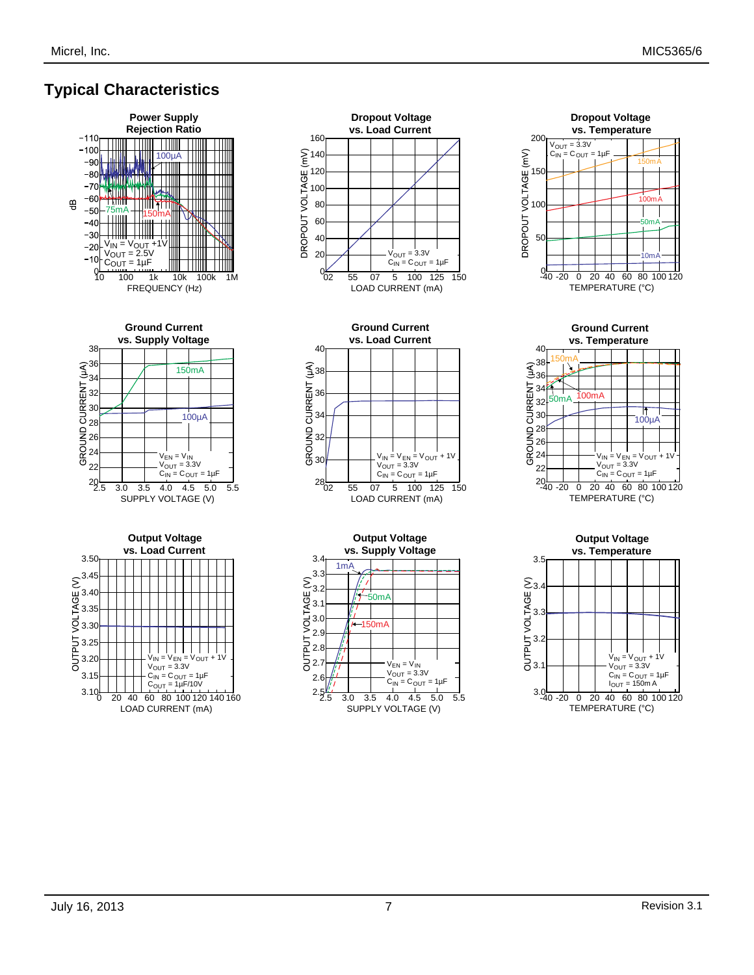## **Typical Characteristics**













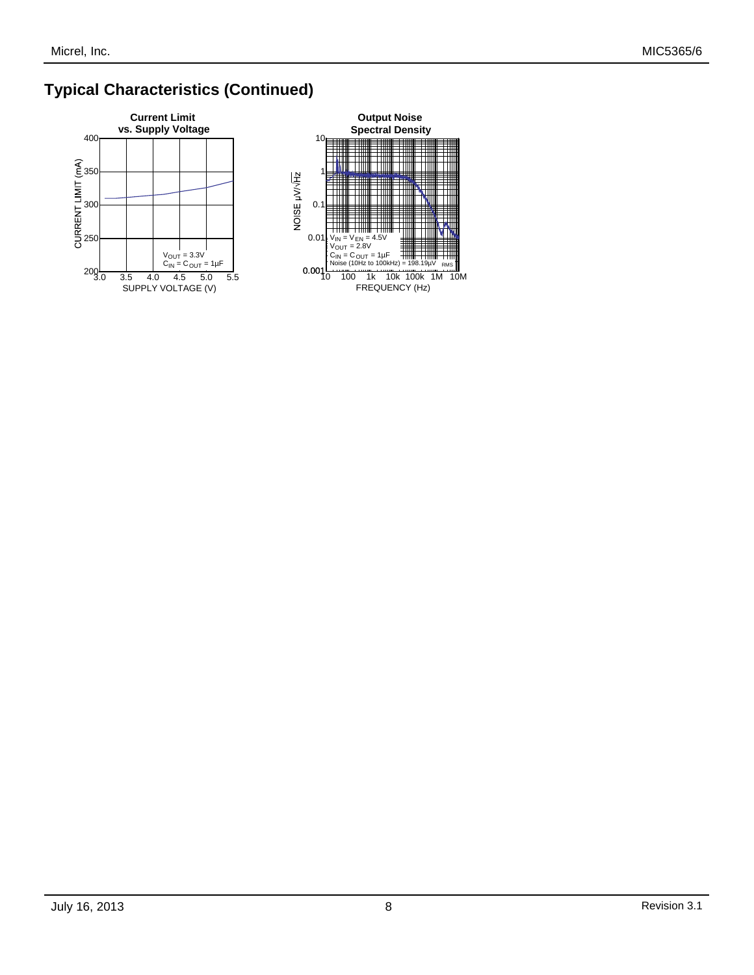## **Typical Characteristics (Continued)**



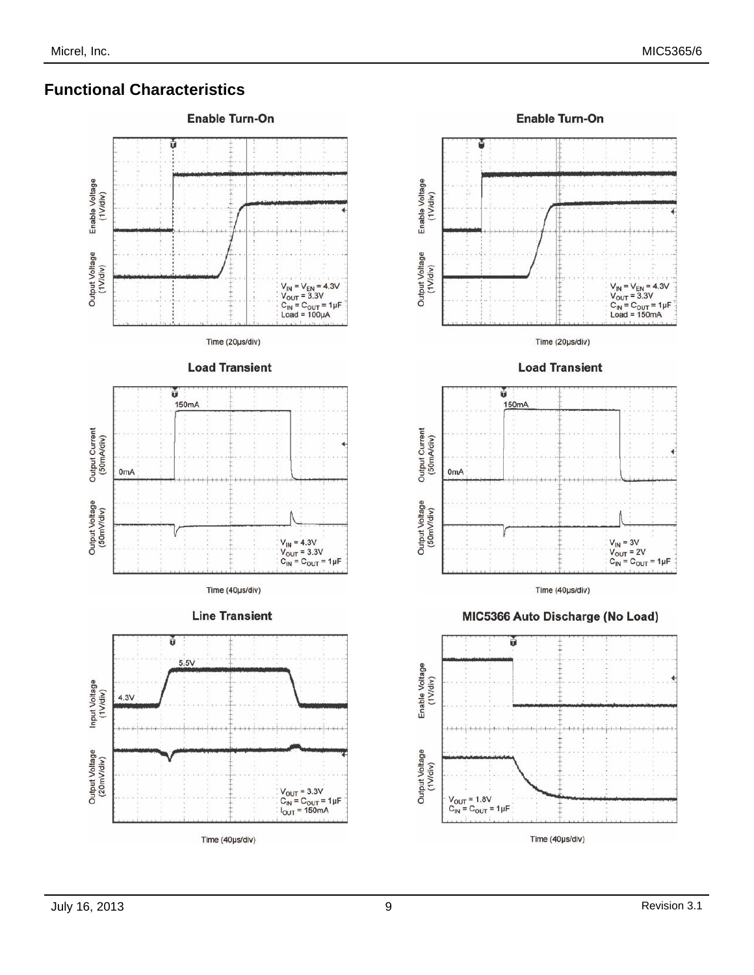### **Functional Characteristics**



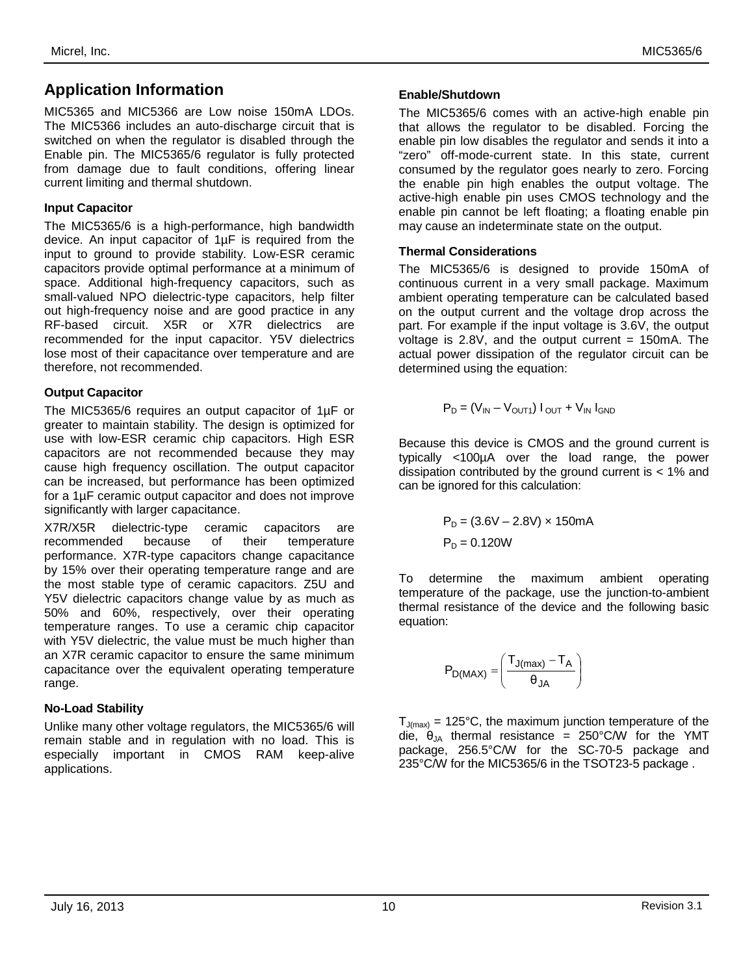### **Application Information**

MIC5365 and MIC5366 are Low noise 150mA LDOs. The MIC5366 includes an auto-discharge circuit that is switched on when the regulator is disabled through the Enable pin. The MIC5365/6 regulator is fully protected from damage due to fault conditions, offering linear current limiting and thermal shutdown.

#### **Input Capacitor**

The MIC5365/6 is a high-performance, high bandwidth device. An input capacitor of 1µF is required from the input to ground to provide stability. Low-ESR ceramic capacitors provide optimal performance at a minimum of space. Additional high-frequency capacitors, such as small-valued NPO dielectric-type capacitors, help filter out high-frequency noise and are good practice in any RF-based circuit. X5R or X7R dielectrics are recommended for the input capacitor. Y5V dielectrics lose most of their capacitance over temperature and are therefore, not recommended.

#### **Output Capacitor**

The MIC5365/6 requires an output capacitor of 1µF or greater to maintain stability. The design is optimized for use with low-ESR ceramic chip capacitors. High ESR capacitors are not recommended because they may cause high frequency oscillation. The output capacitor can be increased, but performance has been optimized for a 1µF ceramic output capacitor and does not improve significantly with larger capacitance.

X7R/X5R dielectric-type ceramic capacitors are recommended because of their temperature performance. X7R-type capacitors change capacitance by 15% over their operating temperature range and are the most stable type of ceramic capacitors. Z5U and Y5V dielectric capacitors change value by as much as 50% and 60%, respectively, over their operating temperature ranges. To use a ceramic chip capacitor with Y5V dielectric, the value must be much higher than an X7R ceramic capacitor to ensure the same minimum capacitance over the equivalent operating temperature range.

#### **No-Load Stability**

Unlike many other voltage regulators, the MIC5365/6 will remain stable and in regulation with no load. This is especially important in CMOS RAM keep-alive applications.

#### **Enable/Shutdown**

The MIC5365/6 comes with an active-high enable pin that allows the regulator to be disabled. Forcing the enable pin low disables the regulator and sends it into a "zero" off-mode-current state. In this state, current consumed by the regulator goes nearly to zero. Forcing the enable pin high enables the output voltage. The active-high enable pin uses CMOS technology and the enable pin cannot be left floating; a floating enable pin may cause an indeterminate state on the output.

#### **Thermal Considerations**

The MIC5365/6 is designed to provide 150mA of continuous current in a very small package. Maximum ambient operating temperature can be calculated based on the output current and the voltage drop across the part. For example if the input voltage is 3.6V, the output voltage is  $2.8V$ , and the output current = 150mA. The actual power dissipation of the regulator circuit can be determined using the equation:

$$
P_D = (V_{IN} - V_{OUT1}) I_{OUT} + V_{IN} I_{GND}
$$

Because this device is CMOS and the ground current is typically <100µA over the load range, the power dissipation contributed by the ground current is < 1% and can be ignored for this calculation:

$$
P_D = (3.6V - 2.8V) \times 150mA
$$
  
\n $P_D = 0.120W$ 

To determine the maximum ambient operating temperature of the package, use the junction-to-ambient thermal resistance of the device and the following basic equation:

$$
P_{D(MAX)}=\left(\frac{T_{J(max)}-T_A}{\theta_{JA}}\right)
$$

 $T_{J(max)}$  = 125°C, the maximum junction temperature of the die,  $\theta_{JA}$  thermal resistance = 250°C/W for the YMT package, 256.5°C/W for the SC-70-5 package and 235°C/W for the MIC5365/6 in the TSOT23-5 package .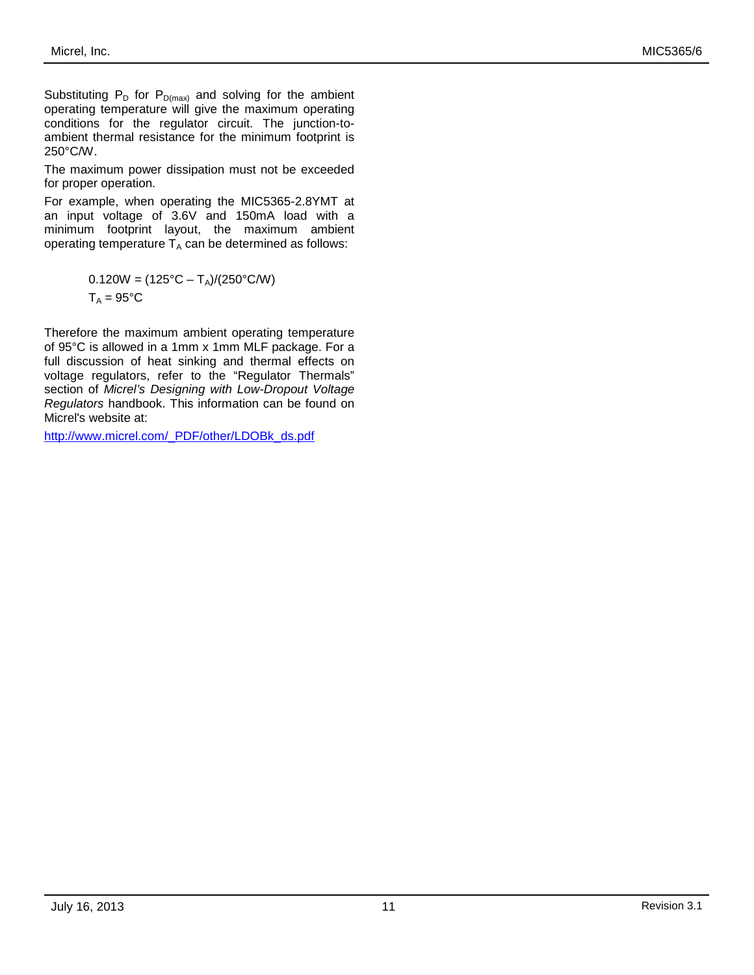Substituting  $P_D$  for  $P_{D(max)}$  and solving for the ambient operating temperature will give the maximum operating conditions for the regulator circuit. The junction-toambient thermal resistance for the minimum footprint is 250°C/W.

The maximum power dissipation must not be exceeded for proper operation.

For example, when operating the MIC5365-2.8YMT at an input voltage of 3.6V and 150mA load with a minimum footprint layout, the maximum ambient operating temperature  $T_A$  can be determined as follows:

$$
0.120W = (125^{\circ}C - T_A)/(250^{\circ}C/W)
$$
  
T<sub>A</sub> = 95°C

Therefore the maximum ambient operating temperature of 95°C is allowed in a 1mm x 1mm MLF package. For a full discussion of heat sinking and thermal effects on voltage regulators, refer to the "Regulator Thermals" section of *Micrel's Designing with Low-Dropout Voltage Regulators* handbook. This information can be found on Micrel's website at:

[http://www.micrel.com/\\_PDF/other/LDOBk\\_ds.pdf](http://www.micrel.com/_PDF/other/LDOBk_ds.pdf)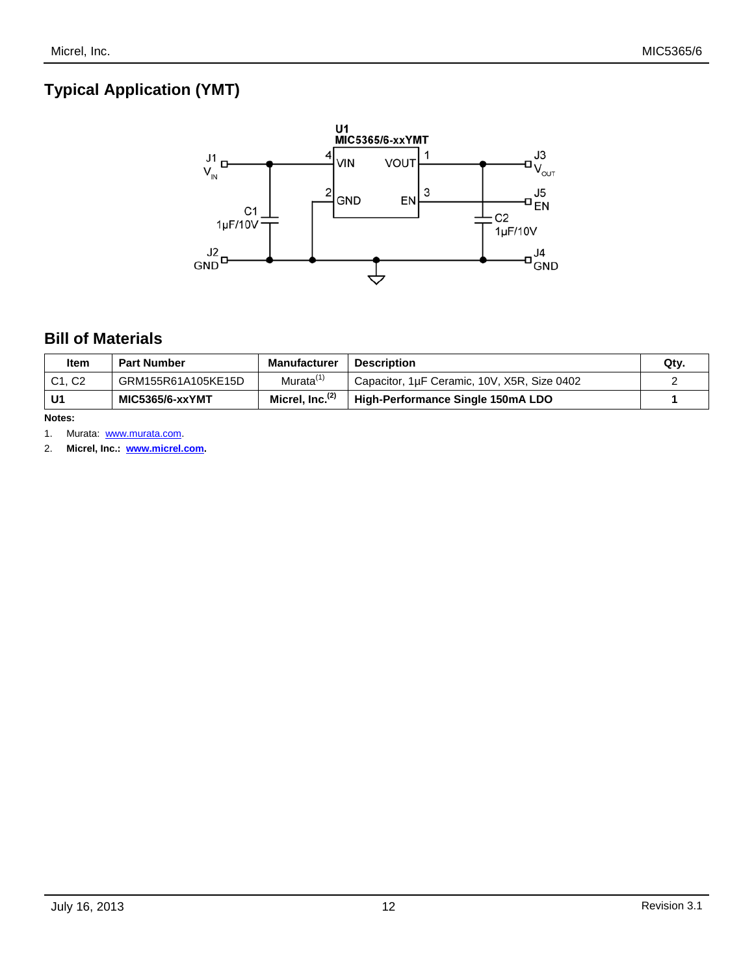## **Typical Application (YMT)**



### **Bill of Materials**

| Item   | <b>Part Number</b> | <b>Manufacturer</b>         | <b>Description</b>                          | Qty. |
|--------|--------------------|-----------------------------|---------------------------------------------|------|
| C1. C2 | GRM155R61A105KE15D | Murata <sup>(1)</sup>       | Capacitor, 1µF Ceramic, 10V, X5R, Size 0402 |      |
| U1     | MIC5365/6-xxYMT    | Micrel, Inc. <sup>(2)</sup> | High-Performance Single 150mA LDO           |      |

**Notes:**

1. Murata: [www.murata.com.](http://www.murata.com/)

2. **Micrel, Inc.: www.micrel.com.**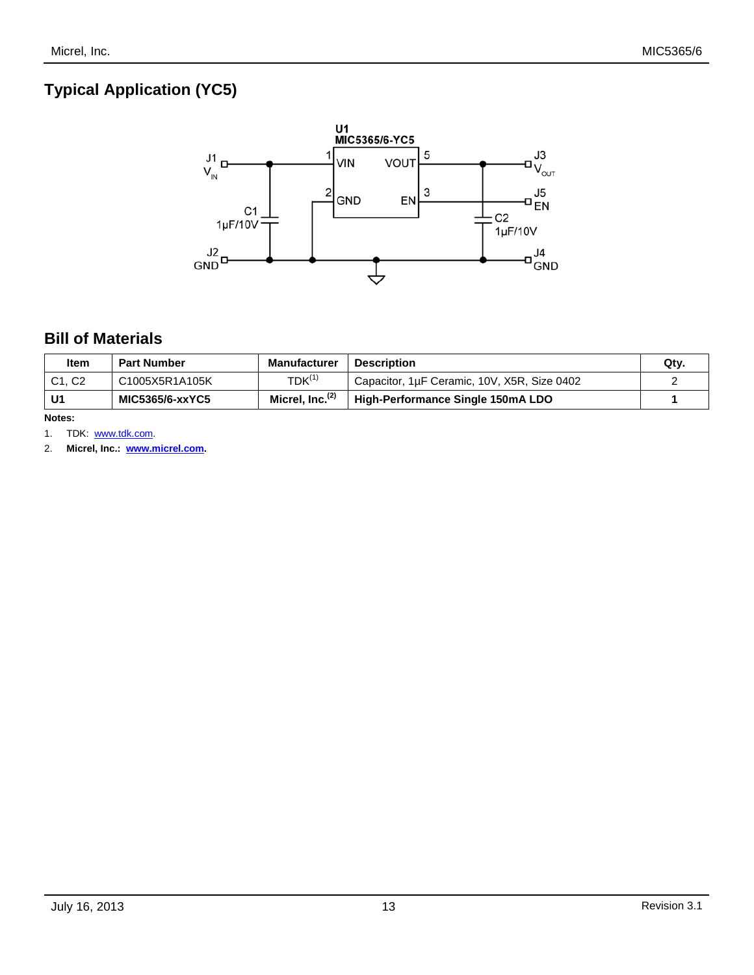# **Typical Application (YC5)**



### **Bill of Materials**

| Item   | <b>Part Number</b> | Manufacturer                | <b>Description</b>                          | Qty. |
|--------|--------------------|-----------------------------|---------------------------------------------|------|
| C1. C2 | C1005X5R1A105K     | $TDK^{(1)}$                 | Capacitor, 1µF Ceramic, 10V, X5R, Size 0402 |      |
| U1     | MIC5365/6-xxYC5    | Micrel, Inc. <sup>(2)</sup> | High-Performance Single 150mA LDO           |      |

**Notes:**

1. TDK: [www.tdk.com.](http://www.tdk.com/)

2. **Micrel, Inc.: www.micrel.com.**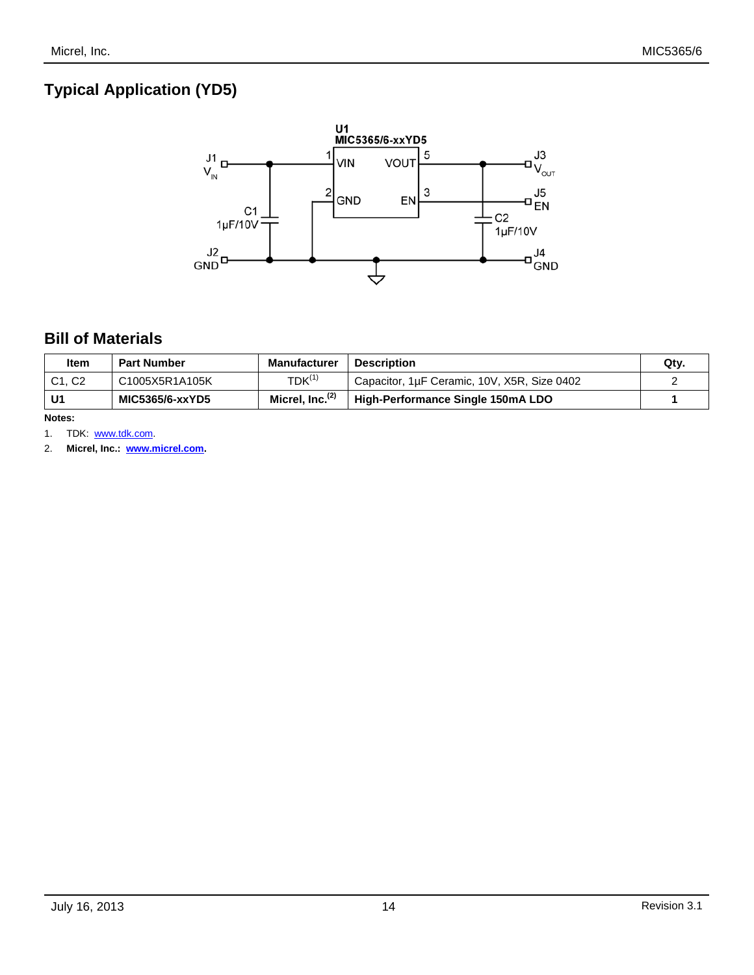# **Typical Application (YD5)**



### **Bill of Materials**

| Item   | <b>Part Number</b> | <b>Manufacturer</b>         | <b>Description</b>                          | Qty. |
|--------|--------------------|-----------------------------|---------------------------------------------|------|
| C1. C2 | C1005X5R1A105K     | $TDK^{(1)}$                 | Capacitor, 1µF Ceramic, 10V, X5R, Size 0402 |      |
| U1     | MIC5365/6-xxYD5    | Micrel, Inc. <sup>(2)</sup> | High-Performance Single 150mA LDO           |      |

**Notes:**

1. TDK: [www.tdk.com.](http://www.tdk.com/)

2. **Micrel, Inc.: www.micrel.com.**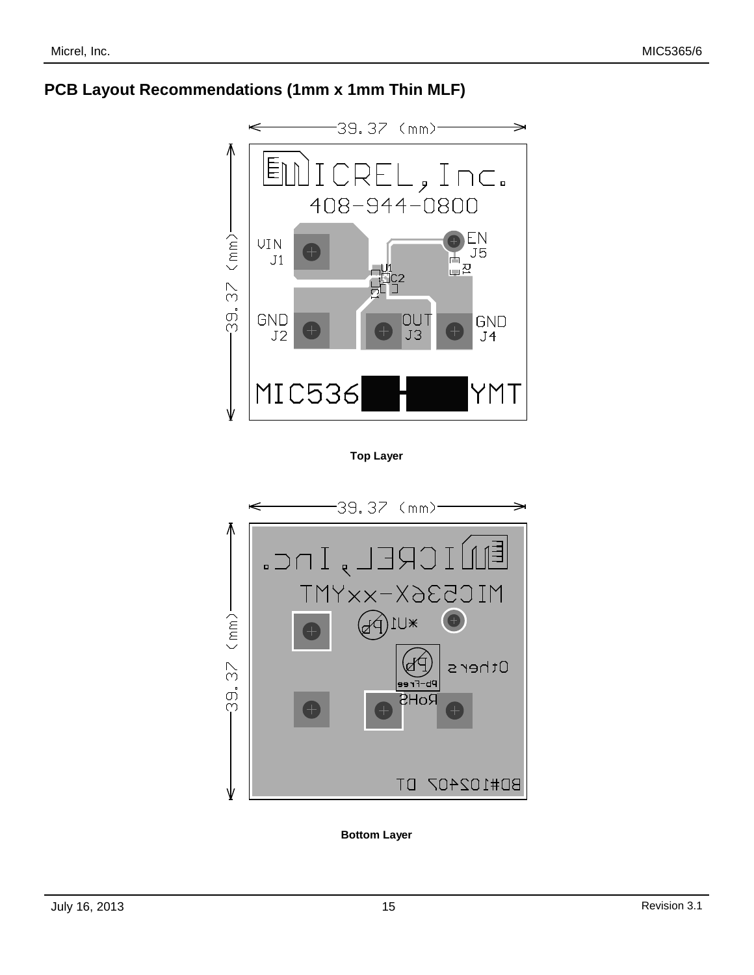### **PCB Layout Recommendations (1mm x 1mm Thin MLF)**



**Top Layer**



**Bottom Layer**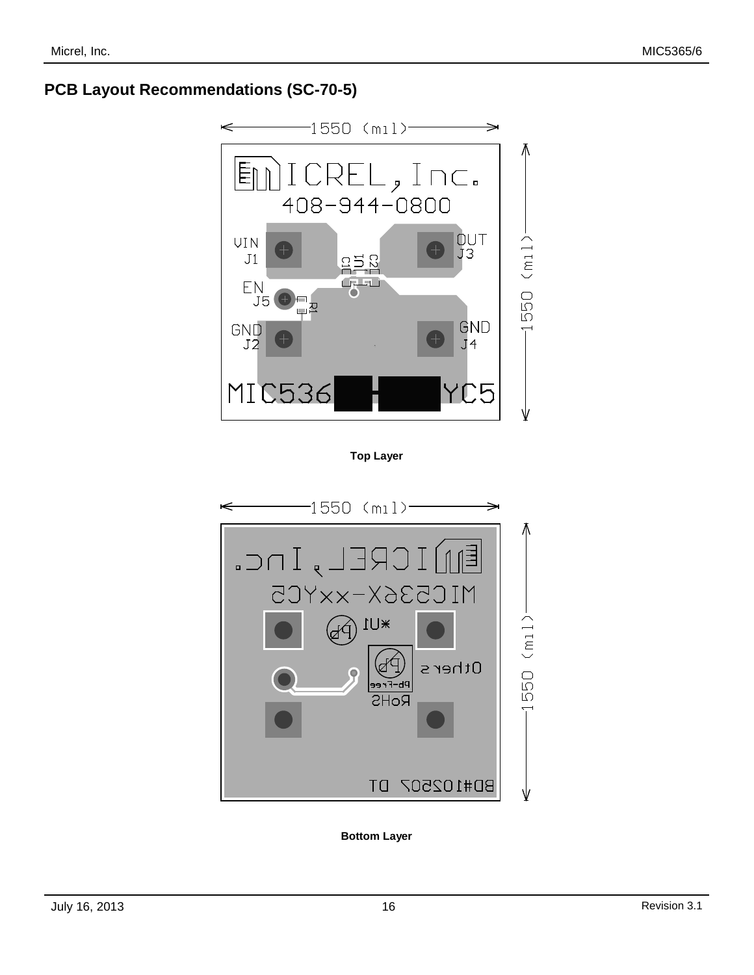### **PCB Layout Recommendations (SC-70-5)**



**Top Layer**



**Bottom Layer**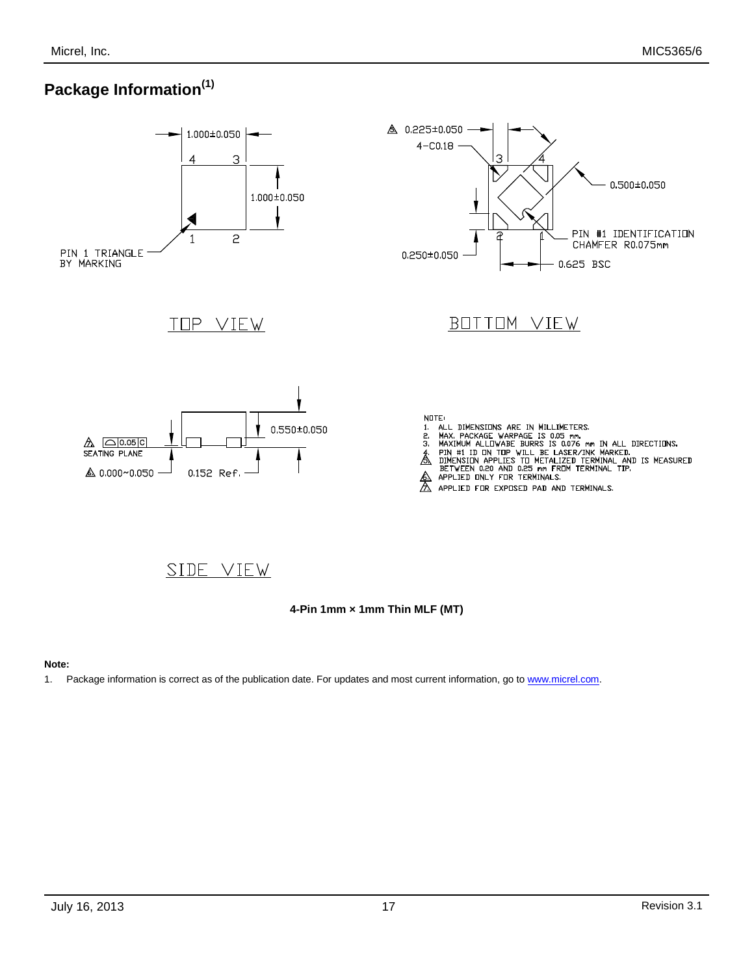## **Package Information(1)**



### SIDE VIEW

**4-Pin 1mm × 1mm Thin MLF (MT)**

#### **Note:**

1. Package information is correct as of the publication date. For updates and most current information, go t[o www.micrel.com.](http://www.micrel.com/)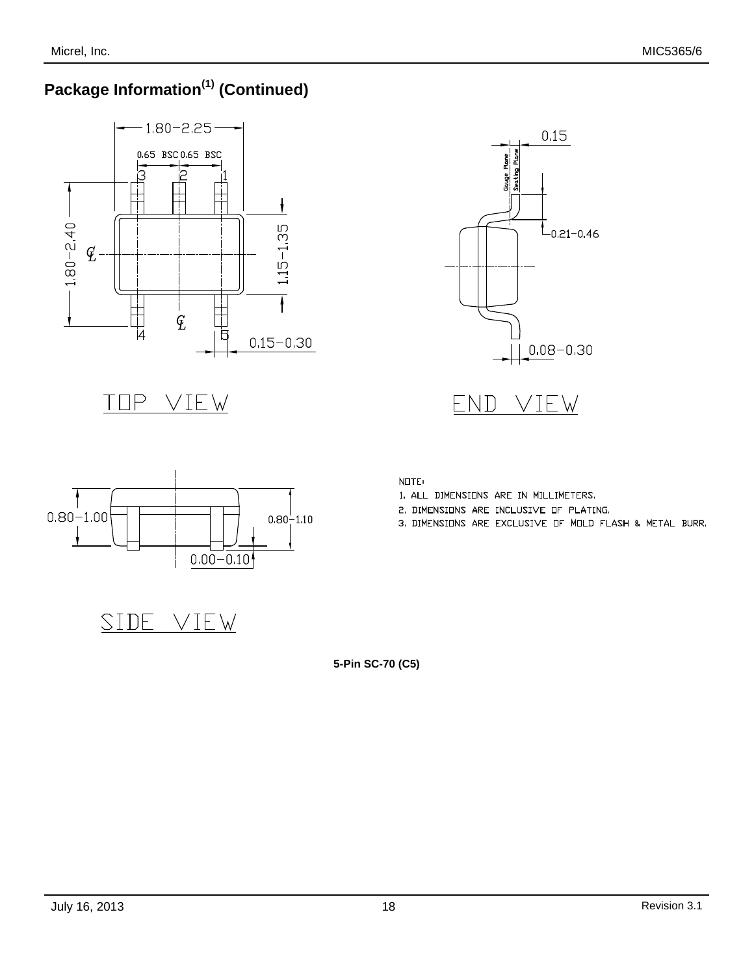# **Package Information(1) (Continued)**







1. ALL DIMENSIONS ARE IN MILLIMETERS. 2. DIMENSIONS ARE INCLUSIVE OF PLATING.

3. DIMENSIONS ARE EXCLUSIVE OF MOLD FLASH & METAL BURR.



|  | $0.00 - 0.10$ |  |
|--|---------------|--|
|  |               |  |
|  |               |  |
|  |               |  |

SIDE VIEW

**5-Pin SC-70 (C5)**

NOTE: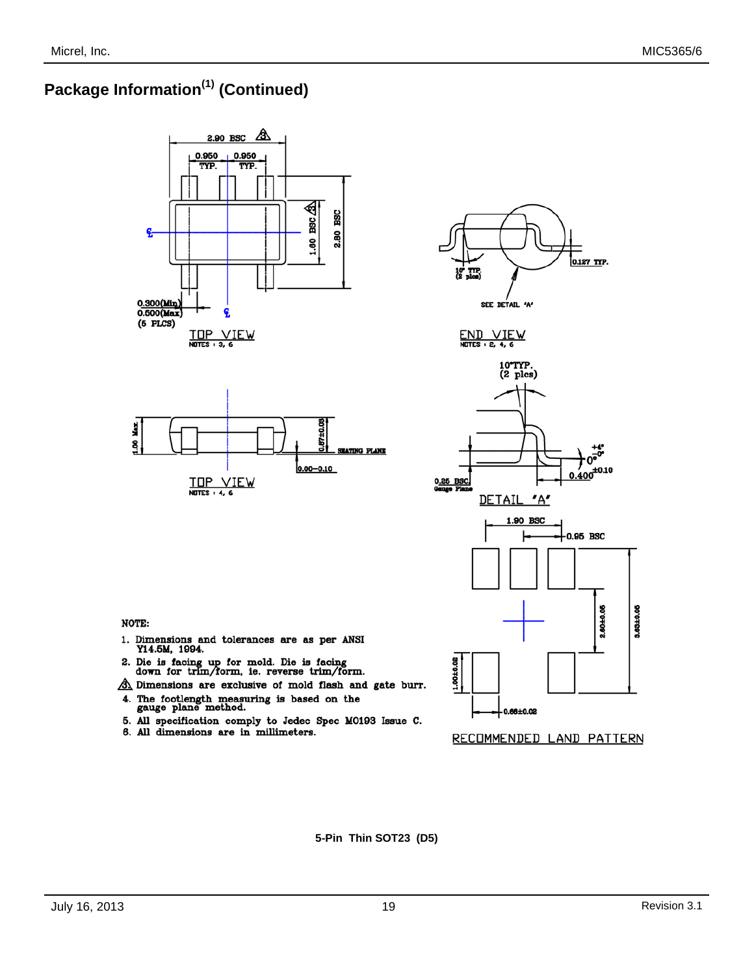# **Package Information(1) (Continued)**











**NOTE:** 

- 1. Dimensions and tolerances are as per ANSI Y14.5M, 1994.
- 2. Die is facing up for mold. Die is facing down for trim/form, ie. reverse trim/form.
- A Dimensions are exclusive of mold flash and gate burr. 4. The footlength measuring is based on the gauge plane method.
- 5. All specification comply to Jedec Spec M0193 Issue C.
- 6. All dimensions are in millimeters.



**5-Pin Thin SOT23 (D5)**